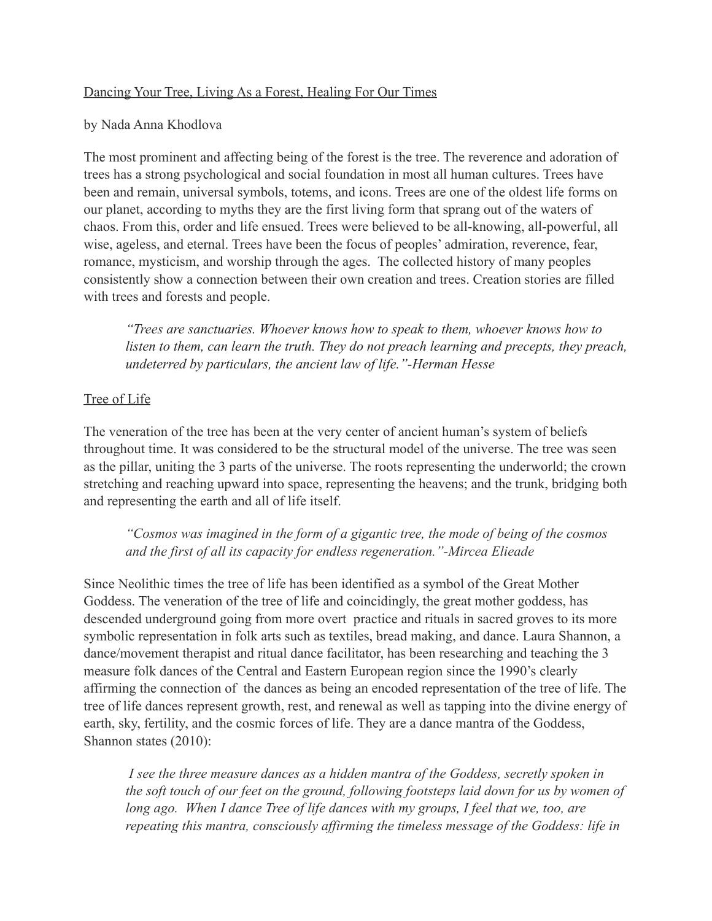## Dancing Your Tree, Living As a Forest, Healing For Our Times

#### by Nada Anna Khodlova

The most prominent and affecting being of the forest is the tree. The reverence and adoration of trees has a strong psychological and social foundation in most all human cultures. Trees have been and remain, universal symbols, totems, and icons. Trees are one of the oldest life forms on our planet, according to myths they are the first living form that sprang out of the waters of chaos. From this, order and life ensued. Trees were believed to be all-knowing, all-powerful, all wise, ageless, and eternal. Trees have been the focus of peoples' admiration, reverence, fear, romance, mysticism, and worship through the ages. The collected history of many peoples consistently show a connection between their own creation and trees. Creation stories are filled with trees and forests and people.

 *"Trees are sanctuaries. Whoever knows how to speak to them, whoever knows how to listen to them, can learn the truth. They do not preach learning and precepts, they preach, undeterred by particulars, the ancient law of life."-Herman Hesse*

## Tree of Life

The veneration of the tree has been at the very center of ancient human's system of beliefs throughout time. It was considered to be the structural model of the universe. The tree was seen as the pillar, uniting the 3 parts of the universe. The roots representing the underworld; the crown stretching and reaching upward into space, representing the heavens; and the trunk, bridging both and representing the earth and all of life itself.

 *"Cosmos was imagined in the form of a gigantic tree, the mode of being of the cosmos and the first of all its capacity for endless regeneration."-Mircea Elieade* 

Since Neolithic times the tree of life has been identified as a symbol of the Great Mother Goddess. The veneration of the tree of life and coincidingly, the great mother goddess, has descended underground going from more overt practice and rituals in sacred groves to its more symbolic representation in folk arts such as textiles, bread making, and dance. Laura Shannon, a dance/movement therapist and ritual dance facilitator, has been researching and teaching the 3 measure folk dances of the Central and Eastern European region since the 1990's clearly affirming the connection of the dances as being an encoded representation of the tree of life. The tree of life dances represent growth, rest, and renewal as well as tapping into the divine energy of earth, sky, fertility, and the cosmic forces of life. They are a dance mantra of the Goddess, Shannon states (2010):

 *I see the three measure dances as a hidden mantra of the Goddess, secretly spoken in the soft touch of our feet on the ground, following footsteps laid down for us by women of*  long ago. When I dance Tree of life dances with my groups, I feel that we, too, are  *repeating this mantra, consciously affirming the timeless message of the Goddess: life in*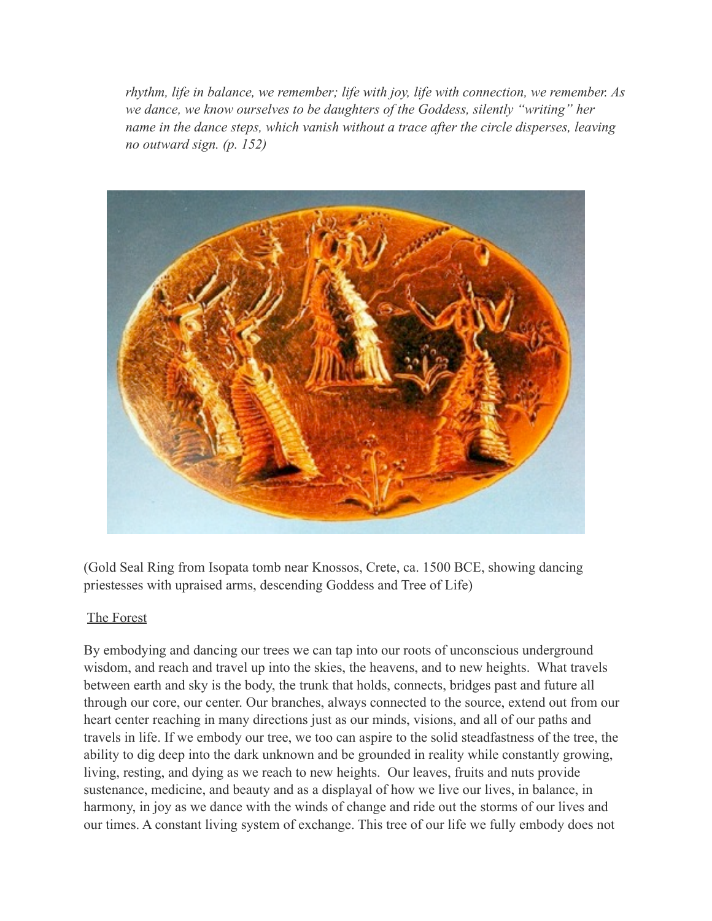*rhythm, life in balance, we remember; life with joy, life with connection, we remember. As we dance, we know ourselves to be daughters of the Goddess, silently "writing" her name in the dance steps, which vanish without a trace after the circle disperses, leaving no outward sign. (p. 152)* 



(Gold Seal Ring from Isopata tomb near Knossos, Crete, ca. 1500 BCE, showing dancing priestesses with upraised arms, descending Goddess and Tree of Life)

## The Forest

By embodying and dancing our trees we can tap into our roots of unconscious underground wisdom, and reach and travel up into the skies, the heavens, and to new heights. What travels between earth and sky is the body, the trunk that holds, connects, bridges past and future all through our core, our center. Our branches, always connected to the source, extend out from our heart center reaching in many directions just as our minds, visions, and all of our paths and travels in life. If we embody our tree, we too can aspire to the solid steadfastness of the tree, the ability to dig deep into the dark unknown and be grounded in reality while constantly growing, living, resting, and dying as we reach to new heights. Our leaves, fruits and nuts provide sustenance, medicine, and beauty and as a displayal of how we live our lives, in balance, in harmony, in joy as we dance with the winds of change and ride out the storms of our lives and our times. A constant living system of exchange. This tree of our life we fully embody does not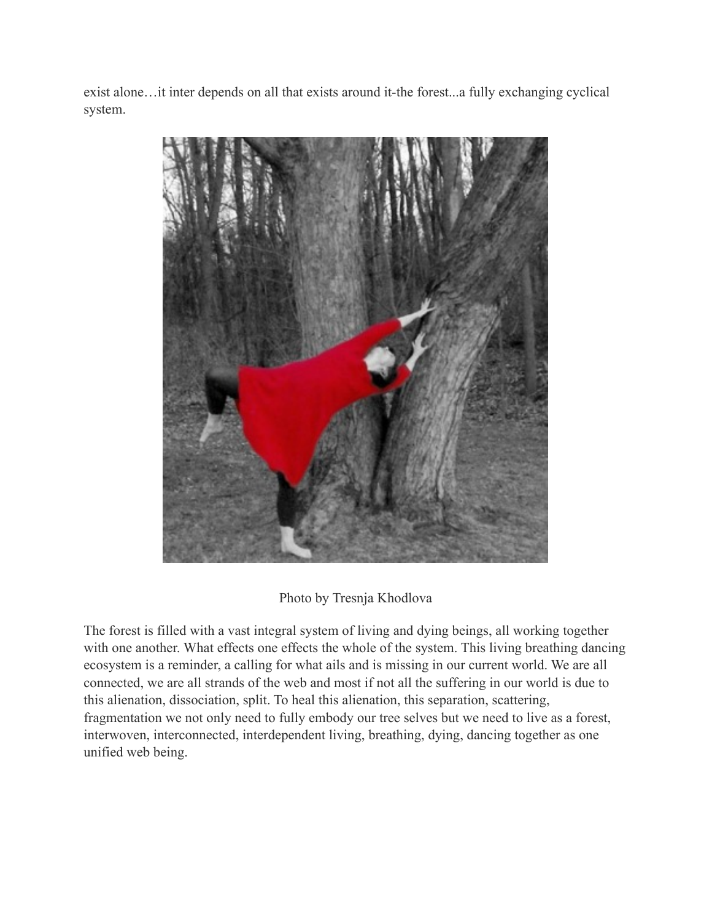exist alone…it inter depends on all that exists around it-the forest...a fully exchanging cyclical system.



# Photo by Tresnja Khodlova

The forest is filled with a vast integral system of living and dying beings, all working together with one another. What effects one effects the whole of the system. This living breathing dancing ecosystem is a reminder, a calling for what ails and is missing in our current world. We are all connected, we are all strands of the web and most if not all the suffering in our world is due to this alienation, dissociation, split. To heal this alienation, this separation, scattering, fragmentation we not only need to fully embody our tree selves but we need to live as a forest, interwoven, interconnected, interdependent living, breathing, dying, dancing together as one unified web being.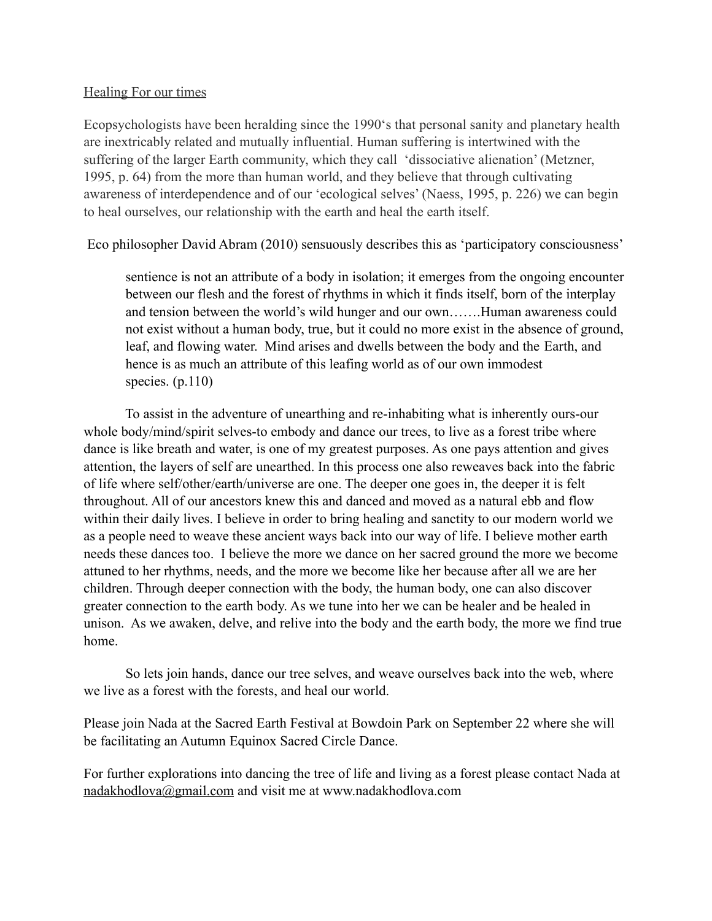#### Healing For our times

Ecopsychologists have been heralding since the 1990's that personal sanity and planetary health are inextricably related and mutually influential. Human suffering is intertwined with the suffering of the larger Earth community, which they call 'dissociative alienation' (Metzner, 1995, p. 64) from the more than human world, and they believe that through cultivating awareness of interdependence and of our 'ecological selves' (Naess, 1995, p. 226) we can begin to heal ourselves, our relationship with the earth and heal the earth itself.

Eco philosopher David Abram (2010) sensuously describes this as 'participatory consciousness'

 sentience is not an attribute of a body in isolation; it emerges from the ongoing encounter between our flesh and the forest of rhythms in which it finds itself, born of the interplay and tension between the world's wild hunger and our own…….Human awareness could not exist without a human body, true, but it could no more exist in the absence of ground, leaf, and flowing water. Mind arises and dwells between the body and the Earth, and hence is as much an attribute of this leafing world as of our own immodest species. (p.110)

 To assist in the adventure of unearthing and re-inhabiting what is inherently ours-our whole body/mind/spirit selves-to embody and dance our trees, to live as a forest tribe where dance is like breath and water, is one of my greatest purposes. As one pays attention and gives attention, the layers of self are unearthed. In this process one also reweaves back into the fabric of life where self/other/earth/universe are one. The deeper one goes in, the deeper it is felt throughout. All of our ancestors knew this and danced and moved as a natural ebb and flow within their daily lives. I believe in order to bring healing and sanctity to our modern world we as a people need to weave these ancient ways back into our way of life. I believe mother earth needs these dances too. I believe the more we dance on her sacred ground the more we become attuned to her rhythms, needs, and the more we become like her because after all we are her children. Through deeper connection with the body, the human body, one can also discover greater connection to the earth body. As we tune into her we can be healer and be healed in unison. As we awaken, delve, and relive into the body and the earth body, the more we find true home.

 So lets join hands, dance our tree selves, and weave ourselves back into the web, where we live as a forest with the forests, and heal our world.

Please join Nada at the Sacred Earth Festival at Bowdoin Park on September 22 where she will be facilitating an Autumn Equinox Sacred Circle Dance.

For further explorations into dancing the tree of life and living as a forest please contact Nada at [nadakhodlova@gmail.com](mailto:nadakhodlova@gmail.com) and visit me at www.nadakhodlova.com